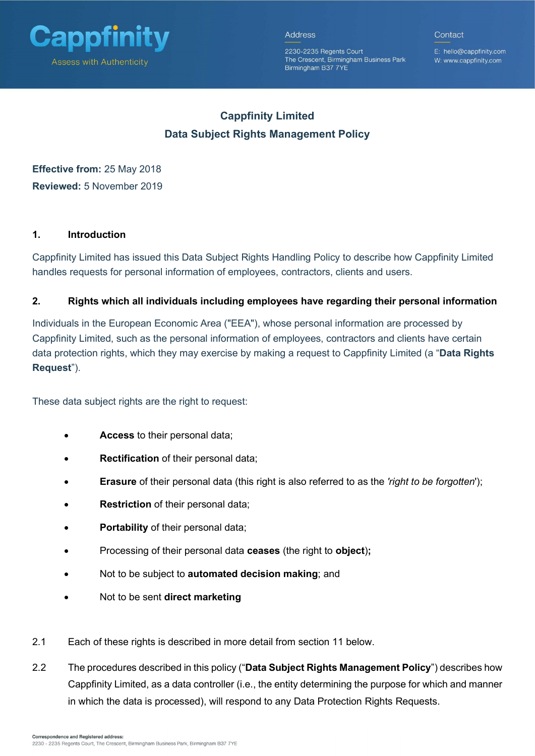

Contact

2230-2235 Regents Court The Crescent, Birmingham Business Park Birmingham B37 7YE

E: hello@cappfinity.com W: www.cappfinity.com

# Cappfinity Limited Data Subject Rights Management Policy

Effective from: 25 May 2018 Reviewed: 5 November 2019

# 1. Introduction

Cappfinity Limited has issued this Data Subject Rights Handling Policy to describe how Cappfinity Limited handles requests for personal information of employees, contractors, clients and users.

# 2. Rights which all individuals including employees have regarding their personal information

Individuals in the European Economic Area ("EEA"), whose personal information are processed by Cappfinity Limited, such as the personal information of employees, contractors and clients have certain data protection rights, which they may exercise by making a request to Cappfinity Limited (a "Data Rights Request").

These data subject rights are the right to request:

- Access to their personal data;
- Rectification of their personal data;
- Erasure of their personal data (this right is also referred to as the 'right to be forgotten');
- Restriction of their personal data;
- Portability of their personal data;
- Processing of their personal data ceases (the right to object);
- Not to be subject to **automated decision making**; and
- Not to be sent direct marketing
- 2.1 Each of these rights is described in more detail from section 11 below.
- 2.2 The procedures described in this policy ("Data Subject Rights Management Policy") describes how Cappfinity Limited, as a data controller (i.e., the entity determining the purpose for which and manner in which the data is processed), will respond to any Data Protection Rights Requests.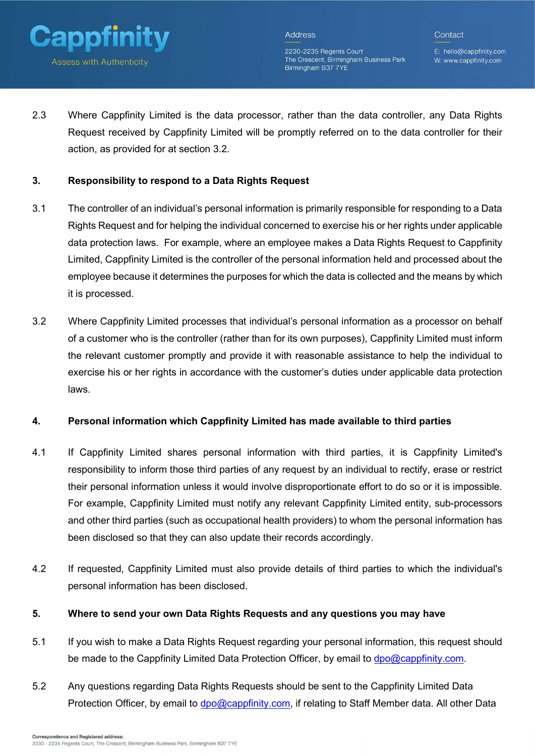

2230-2235 Regents Court The Crescent, Birmingham Business Park Birmingham B37 7YE

E: hello@cappfinity.com W: www.cappfinity.com

2.3 Where Cappfinity Limited is the data processor, rather than the data controller, any Data Rights Request received by Cappfinity Limited will be promptly referred on to the data controller for their action, as provided for at section 3.2.

## 3. Responsibility to respond to a Data Rights Request

- 3.1 The controller of an individual's personal information is primarily responsible for responding to a Data Rights Request and for helping the individual concerned to exercise his or her rights under applicable data protection laws. For example, where an employee makes a Data Rights Request to Cappfinity Limited, Cappfinity Limited is the controller of the personal information held and processed about the employee because it determines the purposes for which the data is collected and the means by which it is processed.
- 3.2 Where Cappfinity Limited processes that individual's personal information as a processor on behalf of a customer who is the controller (rather than for its own purposes), Cappfinity Limited must inform the relevant customer promptly and provide it with reasonable assistance to help the individual to exercise his or her rights in accordance with the customer's duties under applicable data protection laws.

## 4. Personal information which Cappfinity Limited has made available to third parties

- 4.1 If Cappfinity Limited shares personal information with third parties, it is Cappfinity Limited's responsibility to inform those third parties of any request by an individual to rectify, erase or restrict their personal information unless it would involve disproportionate effort to do so or it is impossible. For example, Cappfinity Limited must notify any relevant Cappfinity Limited entity, sub-processors and other third parties (such as occupational health providers) to whom the personal information has been disclosed so that they can also update their records accordingly.
- 4.2 If requested, Cappfinity Limited must also provide details of third parties to which the individual's personal information has been disclosed.

# 5. Where to send your own Data Rights Requests and any questions you may have

- 5.1 If you wish to make a Data Rights Request regarding your personal information, this request should be made to the Cappfinity Limited Data Protection Officer, by email to dpo@cappfinity.com.
- 5.2 Any questions regarding Data Rights Requests should be sent to the Cappfinity Limited Data Protection Officer, by email to dpo@cappfinity.com, if relating to Staff Member data. All other Data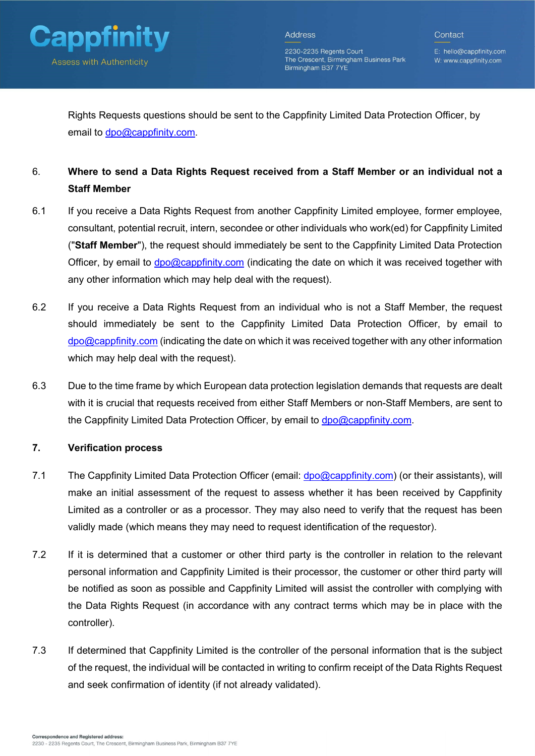

2230-2235 Regents Court The Crescent, Birmingham Business Park Birmingham B37 7YE

E: hello@cappfinity.com W: www.cappfinity.com

Rights Requests questions should be sent to the Cappfinity Limited Data Protection Officer, by email to dpo@cappfinity.com.

# 6. Where to send a Data Rights Request received from a Staff Member or an individual not a Staff Member

- 6.1 If you receive a Data Rights Request from another Cappfinity Limited employee, former employee, consultant, potential recruit, intern, secondee or other individuals who work(ed) for Cappfinity Limited ("Staff Member"), the request should immediately be sent to the Cappfinity Limited Data Protection Officer, by email to  $\text{dpo@cappfinity.com}$  (indicating the date on which it was received together with any other information which may help deal with the request).
- 6.2 If you receive a Data Rights Request from an individual who is not a Staff Member, the request should immediately be sent to the Cappfinity Limited Data Protection Officer, by email to  $\sigma$ dpo@cappfinity.com (indicating the date on which it was received together with any other information which may help deal with the request).
- 6.3 Due to the time frame by which European data protection legislation demands that requests are dealt with it is crucial that requests received from either Staff Members or non-Staff Members, are sent to the Cappfinity Limited Data Protection Officer, by email to dpo@cappfinity.com.

## 7. Verification process

- 7.1 The Cappfinity Limited Data Protection Officer (email: dpo@cappfinity.com) (or their assistants), will make an initial assessment of the request to assess whether it has been received by Cappfinity Limited as a controller or as a processor. They may also need to verify that the request has been validly made (which means they may need to request identification of the requestor).
- 7.2 If it is determined that a customer or other third party is the controller in relation to the relevant personal information and Cappfinity Limited is their processor, the customer or other third party will be notified as soon as possible and Cappfinity Limited will assist the controller with complying with the Data Rights Request (in accordance with any contract terms which may be in place with the controller).
- 7.3 If determined that Cappfinity Limited is the controller of the personal information that is the subject of the request, the individual will be contacted in writing to confirm receipt of the Data Rights Request and seek confirmation of identity (if not already validated).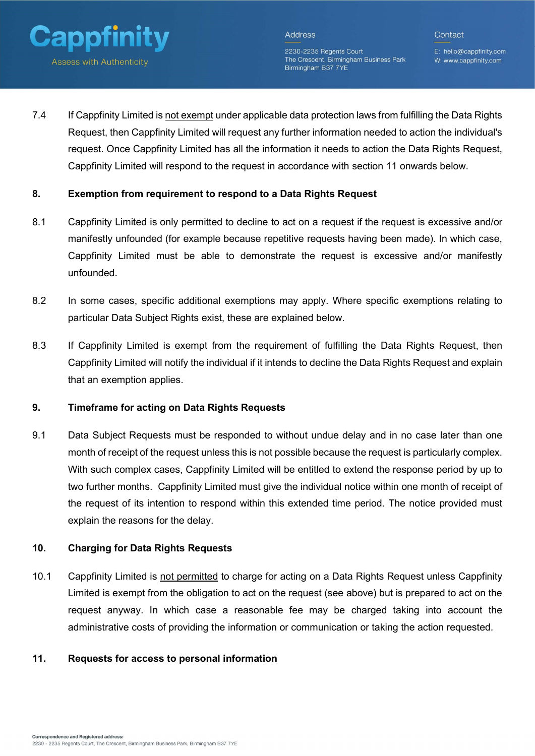

2230-2235 Regents Court The Crescent, Birmingham Business Park Birmingham B37 7YE

E: hello@cappfinity.com W: www.cappfinity.com

Contact

7.4 If Cappfinity Limited is not exempt under applicable data protection laws from fulfilling the Data Rights Request, then Cappfinity Limited will request any further information needed to action the individual's request. Once Cappfinity Limited has all the information it needs to action the Data Rights Request, Cappfinity Limited will respond to the request in accordance with section 11 onwards below.

## 8. Exemption from requirement to respond to a Data Rights Request

- 8.1 Cappfinity Limited is only permitted to decline to act on a request if the request is excessive and/or manifestly unfounded (for example because repetitive requests having been made). In which case, Cappfinity Limited must be able to demonstrate the request is excessive and/or manifestly unfounded.
- 8.2 In some cases, specific additional exemptions may apply. Where specific exemptions relating to particular Data Subject Rights exist, these are explained below.
- 8.3 If Cappfinity Limited is exempt from the requirement of fulfilling the Data Rights Request, then Cappfinity Limited will notify the individual if it intends to decline the Data Rights Request and explain that an exemption applies.

## 9. Timeframe for acting on Data Rights Requests

9.1 Data Subject Requests must be responded to without undue delay and in no case later than one month of receipt of the request unless this is not possible because the request is particularly complex. With such complex cases, Cappfinity Limited will be entitled to extend the response period by up to two further months. Cappfinity Limited must give the individual notice within one month of receipt of the request of its intention to respond within this extended time period. The notice provided must explain the reasons for the delay.

## 10. Charging for Data Rights Requests

10.1 Cappfinity Limited is not permitted to charge for acting on a Data Rights Request unless Cappfinity Limited is exempt from the obligation to act on the request (see above) but is prepared to act on the request anyway. In which case a reasonable fee may be charged taking into account the administrative costs of providing the information or communication or taking the action requested.

#### 11. Requests for access to personal information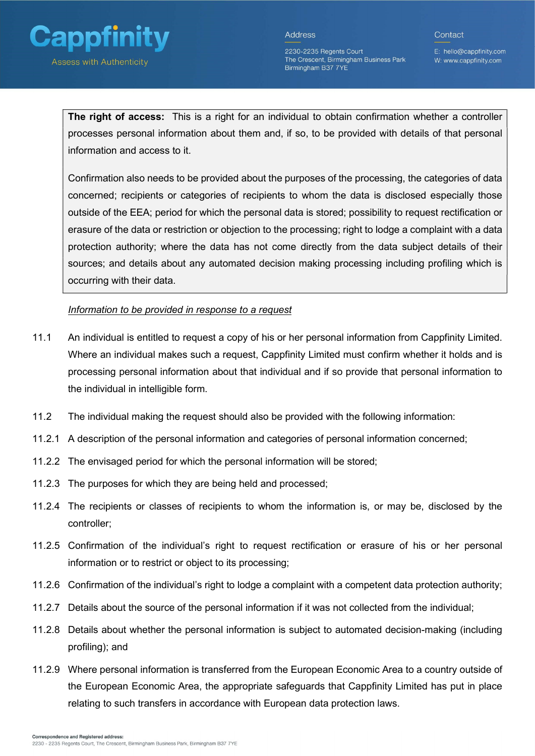

2230-2235 Regents Court The Crescent, Birmingham Business Park Birmingham B37 7YE

E: hello@cappfinity.com W: www.cappfinity.com

Contact

The right of access: This is a right for an individual to obtain confirmation whether a controller processes personal information about them and, if so, to be provided with details of that personal information and access to it.

Confirmation also needs to be provided about the purposes of the processing, the categories of data concerned; recipients or categories of recipients to whom the data is disclosed especially those outside of the EEA; period for which the personal data is stored; possibility to request rectification or erasure of the data or restriction or objection to the processing; right to lodge a complaint with a data protection authority; where the data has not come directly from the data subject details of their sources; and details about any automated decision making processing including profiling which is occurring with their data.

Information to be provided in response to a request

- 11.1 An individual is entitled to request a copy of his or her personal information from Cappfinity Limited. Where an individual makes such a request, Cappfinity Limited must confirm whether it holds and is processing personal information about that individual and if so provide that personal information to the individual in intelligible form.
- 11.2 The individual making the request should also be provided with the following information:
- 11.2.1 A description of the personal information and categories of personal information concerned;
- 11.2.2 The envisaged period for which the personal information will be stored;
- 11.2.3 The purposes for which they are being held and processed;
- 11.2.4 The recipients or classes of recipients to whom the information is, or may be, disclosed by the controller;
- 11.2.5 Confirmation of the individual's right to request rectification or erasure of his or her personal information or to restrict or object to its processing;
- 11.2.6 Confirmation of the individual's right to lodge a complaint with a competent data protection authority;
- 11.2.7 Details about the source of the personal information if it was not collected from the individual;
- 11.2.8 Details about whether the personal information is subject to automated decision-making (including profiling); and
- 11.2.9 Where personal information is transferred from the European Economic Area to a country outside of the European Economic Area, the appropriate safeguards that Cappfinity Limited has put in place relating to such transfers in accordance with European data protection laws.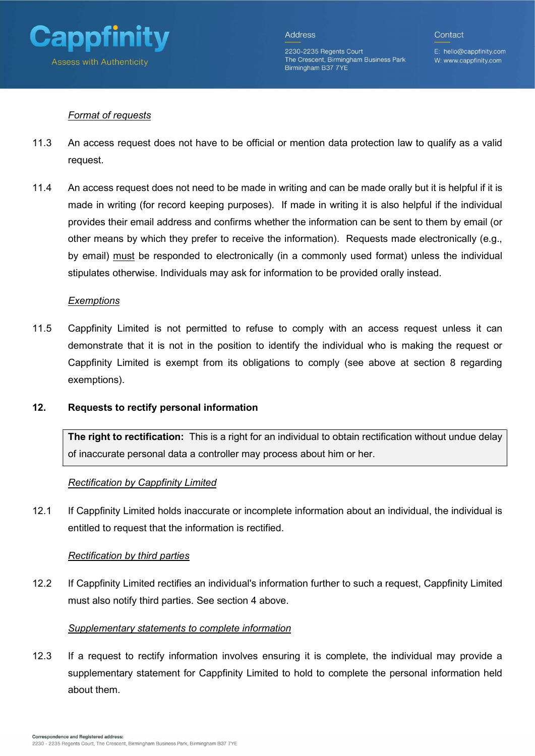

2230-2235 Regents Court The Crescent, Birmingham Business Park Birmingham B37 7YE

E: hello@cappfinity.com W: www.cappfinity.com

Contact

## Format of requests

- 11.3 An access request does not have to be official or mention data protection law to qualify as a valid request.
- 11.4 An access request does not need to be made in writing and can be made orally but it is helpful if it is made in writing (for record keeping purposes). If made in writing it is also helpful if the individual provides their email address and confirms whether the information can be sent to them by email (or other means by which they prefer to receive the information). Requests made electronically (e.g., by email) must be responded to electronically (in a commonly used format) unless the individual stipulates otherwise. Individuals may ask for information to be provided orally instead.

#### **Exemptions**

11.5 Cappfinity Limited is not permitted to refuse to comply with an access request unless it can demonstrate that it is not in the position to identify the individual who is making the request or Cappfinity Limited is exempt from its obligations to comply (see above at section 8 regarding exemptions).

## 12. Requests to rectify personal information

The right to rectification: This is a right for an individual to obtain rectification without undue delay of inaccurate personal data a controller may process about him or her.

## Rectification by Cappfinity Limited

12.1 If Cappfinity Limited holds inaccurate or incomplete information about an individual, the individual is entitled to request that the information is rectified.

## Rectification by third parties

12.2 If Cappfinity Limited rectifies an individual's information further to such a request, Cappfinity Limited must also notify third parties. See section 4 above.

#### Supplementary statements to complete information

12.3 If a request to rectify information involves ensuring it is complete, the individual may provide a supplementary statement for Cappfinity Limited to hold to complete the personal information held about them.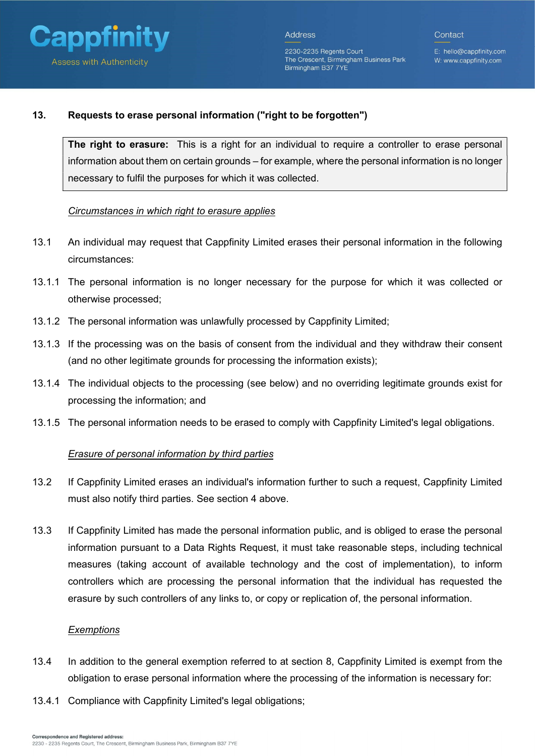

2230-2235 Regents Court

Birmingham B37 7YE

E: hello@cappfinity.com The Crescent, Birmingham Business Park W: www.cappfinity.com

#### 13. Requests to erase personal information ("right to be forgotten")

The right to erasure: This is a right for an individual to require a controller to erase personal information about them on certain grounds – for example, where the personal information is no longer necessary to fulfil the purposes for which it was collected.

#### Circumstances in which right to erasure applies

- 13.1 An individual may request that Cappfinity Limited erases their personal information in the following circumstances:
- 13.1.1 The personal information is no longer necessary for the purpose for which it was collected or otherwise processed;
- 13.1.2 The personal information was unlawfully processed by Cappfinity Limited;
- 13.1.3 If the processing was on the basis of consent from the individual and they withdraw their consent (and no other legitimate grounds for processing the information exists);
- 13.1.4 The individual objects to the processing (see below) and no overriding legitimate grounds exist for processing the information; and
- 13.1.5 The personal information needs to be erased to comply with Cappfinity Limited's legal obligations.

## Erasure of personal information by third parties

- 13.2 If Cappfinity Limited erases an individual's information further to such a request, Cappfinity Limited must also notify third parties. See section 4 above.
- 13.3 If Cappfinity Limited has made the personal information public, and is obliged to erase the personal information pursuant to a Data Rights Request, it must take reasonable steps, including technical measures (taking account of available technology and the cost of implementation), to inform controllers which are processing the personal information that the individual has requested the erasure by such controllers of any links to, or copy or replication of, the personal information.

#### **Exemptions**

- 13.4 In addition to the general exemption referred to at section 8, Cappfinity Limited is exempt from the obligation to erase personal information where the processing of the information is necessary for:
- 13.4.1 Compliance with Cappfinity Limited's legal obligations;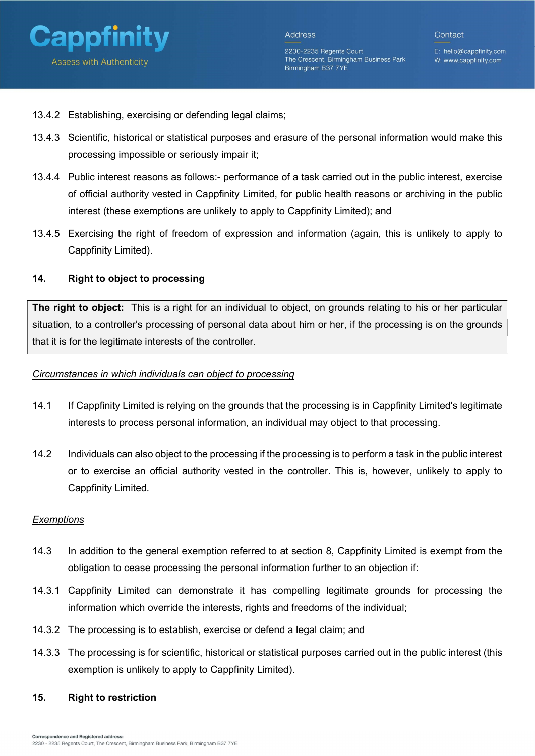

E: hello@cappfinity.com W: www.cappfinity.com

Contact

- 13.4.2 Establishing, exercising or defending legal claims;
- 13.4.3 Scientific, historical or statistical purposes and erasure of the personal information would make this processing impossible or seriously impair it;
- 13.4.4 Public interest reasons as follows:- performance of a task carried out in the public interest, exercise of official authority vested in Cappfinity Limited, for public health reasons or archiving in the public interest (these exemptions are unlikely to apply to Cappfinity Limited); and
- 13.4.5 Exercising the right of freedom of expression and information (again, this is unlikely to apply to Cappfinity Limited).

## 14. Right to object to processing

The right to object: This is a right for an individual to object, on grounds relating to his or her particular situation, to a controller's processing of personal data about him or her, if the processing is on the grounds that it is for the legitimate interests of the controller.

#### Circumstances in which individuals can object to processing

- 14.1 If Cappfinity Limited is relying on the grounds that the processing is in Cappfinity Limited's legitimate interests to process personal information, an individual may object to that processing.
- 14.2 Individuals can also object to the processing if the processing is to perform a task in the public interest or to exercise an official authority vested in the controller. This is, however, unlikely to apply to Cappfinity Limited.

#### **Exemptions**

- 14.3 In addition to the general exemption referred to at section 8, Cappfinity Limited is exempt from the obligation to cease processing the personal information further to an objection if:
- 14.3.1 Cappfinity Limited can demonstrate it has compelling legitimate grounds for processing the information which override the interests, rights and freedoms of the individual;
- 14.3.2 The processing is to establish, exercise or defend a legal claim; and
- 14.3.3 The processing is for scientific, historical or statistical purposes carried out in the public interest (this exemption is unlikely to apply to Cappfinity Limited).

## 15. Right to restriction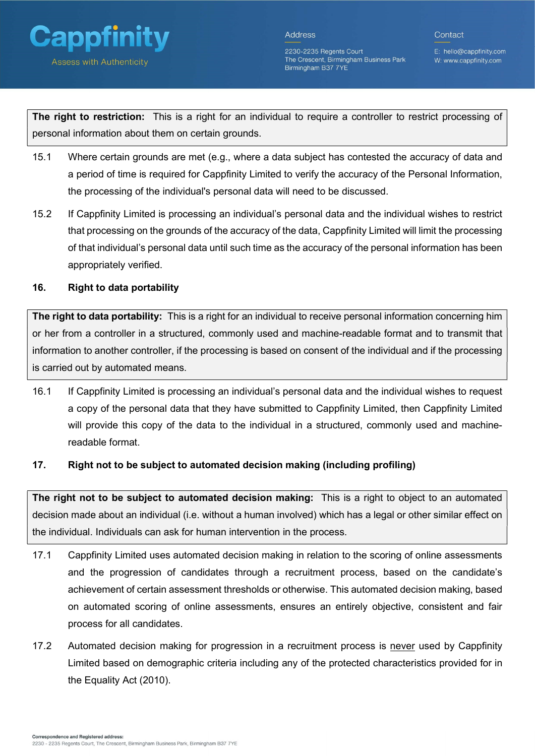

2230-2235 Regents Court The Crescent, Birmingham Business Park Birmingham B37 7YE

E: hello@cappfinity.com W: www.cappfinity.com

Contact

The right to restriction: This is a right for an individual to require a controller to restrict processing of personal information about them on certain grounds.

- 15.1 Where certain grounds are met (e.g., where a data subject has contested the accuracy of data and a period of time is required for Cappfinity Limited to verify the accuracy of the Personal Information, the processing of the individual's personal data will need to be discussed.
- 15.2 If Cappfinity Limited is processing an individual's personal data and the individual wishes to restrict that processing on the grounds of the accuracy of the data, Cappfinity Limited will limit the processing of that individual's personal data until such time as the accuracy of the personal information has been appropriately verified.

# 16. Right to data portability

The right to data portability: This is a right for an individual to receive personal information concerning him or her from a controller in a structured, commonly used and machine-readable format and to transmit that information to another controller, if the processing is based on consent of the individual and if the processing is carried out by automated means.

16.1 If Cappfinity Limited is processing an individual's personal data and the individual wishes to request a copy of the personal data that they have submitted to Cappfinity Limited, then Cappfinity Limited will provide this copy of the data to the individual in a structured, commonly used and machinereadable format.

# 17. Right not to be subject to automated decision making (including profiling)

The right not to be subject to automated decision making: This is a right to object to an automated decision made about an individual (i.e. without a human involved) which has a legal or other similar effect on the individual. Individuals can ask for human intervention in the process.

- 17.1 Cappfinity Limited uses automated decision making in relation to the scoring of online assessments and the progression of candidates through a recruitment process, based on the candidate's achievement of certain assessment thresholds or otherwise. This automated decision making, based on automated scoring of online assessments, ensures an entirely objective, consistent and fair process for all candidates.
- 17.2 Automated decision making for progression in a recruitment process is never used by Cappfinity Limited based on demographic criteria including any of the protected characteristics provided for in the Equality Act (2010).